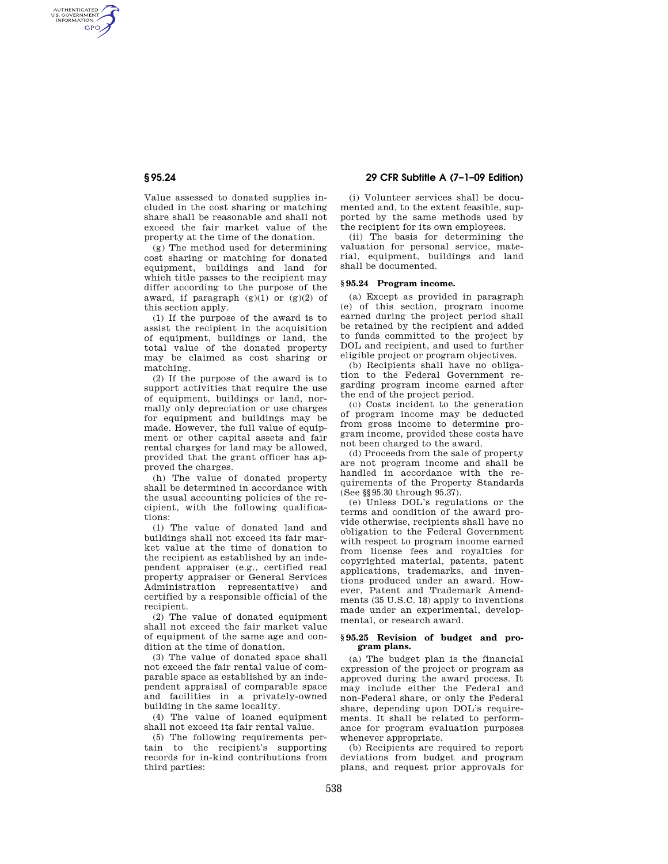AUTHENTICATED<br>U.S. GOVERNMENT<br>INFORMATION **GPO** 

> Value assessed to donated supplies included in the cost sharing or matching share shall be reasonable and shall not exceed the fair market value of the property at the time of the donation.

> (g) The method used for determining cost sharing or matching for donated equipment, buildings and land for which title passes to the recipient may differ according to the purpose of the award, if paragraph  $(g)(1)$  or  $(g)(2)$  of this section apply.

> (1) If the purpose of the award is to assist the recipient in the acquisition of equipment, buildings or land, the total value of the donated property may be claimed as cost sharing or matching.

> (2) If the purpose of the award is to support activities that require the use of equipment, buildings or land, normally only depreciation or use charges for equipment and buildings may be made. However, the full value of equipment or other capital assets and fair rental charges for land may be allowed, provided that the grant officer has approved the charges.

> (h) The value of donated property shall be determined in accordance with the usual accounting policies of the recipient, with the following qualifications:

> (1) The value of donated land and buildings shall not exceed its fair market value at the time of donation to the recipient as established by an independent appraiser (e.g., certified real property appraiser or General Services Administration representative) and certified by a responsible official of the recipient.

> (2) The value of donated equipment shall not exceed the fair market value of equipment of the same age and condition at the time of donation.

> (3) The value of donated space shall not exceed the fair rental value of comparable space as established by an independent appraisal of comparable space and facilities in a privately-owned building in the same locality.

> (4) The value of loaned equipment shall not exceed its fair rental value.

> (5) The following requirements pertain to the recipient's supporting records for in-kind contributions from third parties:

**§ 95.24 29 CFR Subtitle A (7–1–09 Edition)** 

(i) Volunteer services shall be documented and, to the extent feasible, supported by the same methods used by the recipient for its own employees.

(ii) The basis for determining the valuation for personal service, material, equipment, buildings and land shall be documented.

### **§ 95.24 Program income.**

(a) Except as provided in paragraph (e) of this section, program income earned during the project period shall be retained by the recipient and added to funds committed to the project by DOL and recipient, and used to further eligible project or program objectives.

(b) Recipients shall have no obligation to the Federal Government regarding program income earned after the end of the project period.

(c) Costs incident to the generation of program income may be deducted from gross income to determine program income, provided these costs have not been charged to the award.

(d) Proceeds from the sale of property are not program income and shall be handled in accordance with the requirements of the Property Standards (See §§95.30 through 95.37).

(e) Unless DOL's regulations or the terms and condition of the award provide otherwise, recipients shall have no obligation to the Federal Government with respect to program income earned from license fees and royalties for copyrighted material, patents, patent applications, trademarks, and inventions produced under an award. However, Patent and Trademark Amendments (35 U.S.C. 18) apply to inventions made under an experimental, developmental, or research award.

# **§ 95.25 Revision of budget and program plans.**

(a) The budget plan is the financial expression of the project or program as approved during the award process. It may include either the Federal and non-Federal share, or only the Federal share, depending upon DOL's requirements. It shall be related to performance for program evaluation purposes whenever appropriate.

(b) Recipients are required to report deviations from budget and program plans, and request prior approvals for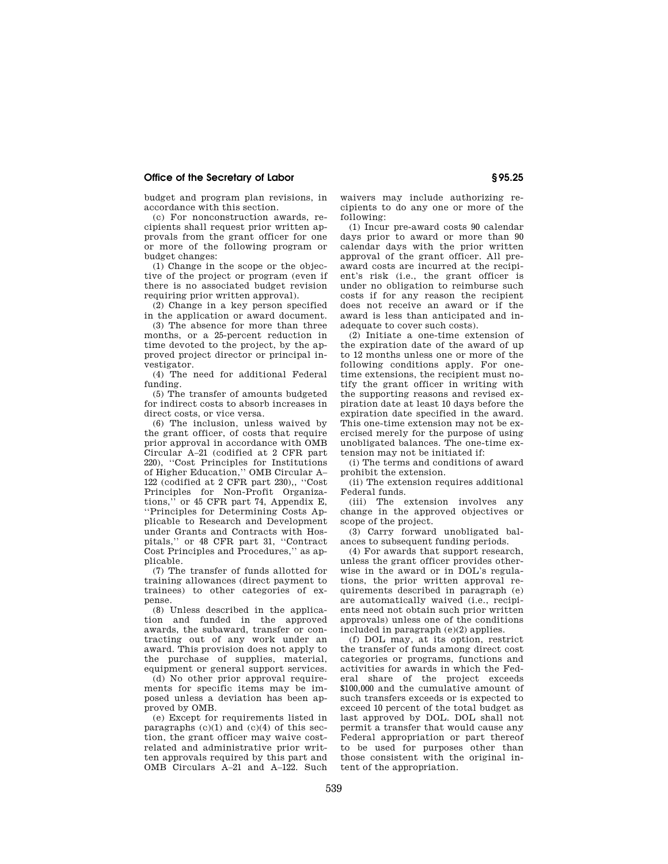## **Office of the Secretary of Labor § 95.25**

budget and program plan revisions, in accordance with this section.

 $(c)$  For nonconstruction awards, recipients shall request prior written approvals from the grant officer for one or more of the following program or budget changes:

(1) Change in the scope or the objective of the project or program (even if there is no associated budget revision requiring prior written approval).

(2) Change in a key person specified in the application or award document.

(3) The absence for more than three months, or a 25-percent reduction in time devoted to the project, by the approved project director or principal investigator.

(4) The need for additional Federal funding.

(5) The transfer of amounts budgeted for indirect costs to absorb increases in direct costs, or vice versa.

(6) The inclusion, unless waived by the grant officer, of costs that require prior approval in accordance with OMB Circular A–21 (codified at 2 CFR part 220), ''Cost Principles for Institutions of Higher Education,'' OMB Circular A– 122 (codified at 2 CFR part 230),, ''Cost Principles for Non-Profit Organizations,'' or 45 CFR part 74, Appendix E, ''Principles for Determining Costs Applicable to Research and Development under Grants and Contracts with Hospitals,'' or 48 CFR part 31, ''Contract Cost Principles and Procedures,'' as applicable.

(7) The transfer of funds allotted for training allowances (direct payment to trainees) to other categories of expense.

(8) Unless described in the application and funded in the approved awards, the subaward, transfer or contracting out of any work under an award. This provision does not apply to the purchase of supplies, material, equipment or general support services.

(d) No other prior approval requirements for specific items may be imposed unless a deviation has been approved by OMB.

(e) Except for requirements listed in paragraphs  $(c)(1)$  and  $(c)(4)$  of this section, the grant officer may waive costrelated and administrative prior written approvals required by this part and OMB Circulars A–21 and A–122. Such waivers may include authorizing recipients to do any one or more of the following:

(1) Incur pre-award costs 90 calendar days prior to award or more than 90 calendar days with the prior written approval of the grant officer. All preaward costs are incurred at the recipient's risk (i.e., the grant officer is under no obligation to reimburse such costs if for any reason the recipient does not receive an award or if the award is less than anticipated and inadequate to cover such costs).

(2) Initiate a one-time extension of the expiration date of the award of up to 12 months unless one or more of the following conditions apply. For onetime extensions, the recipient must notify the grant officer in writing with the supporting reasons and revised expiration date at least 10 days before the expiration date specified in the award. This one-time extension may not be exercised merely for the purpose of using unobligated balances. The one-time extension may not be initiated if:

(i) The terms and conditions of award prohibit the extension.

(ii) The extension requires additional Federal funds.

(iii) The extension involves any change in the approved objectives or scope of the project.

(3) Carry forward unobligated balances to subsequent funding periods.

(4) For awards that support research, unless the grant officer provides otherwise in the award or in DOL's regulations, the prior written approval requirements described in paragraph (e) are automatically waived (i.e., recipients need not obtain such prior written approvals) unless one of the conditions included in paragraph (e)(2) applies.

(f) DOL may, at its option, restrict the transfer of funds among direct cost categories or programs, functions and activities for awards in which the Federal share of the project exceeds \$100,000 and the cumulative amount of such transfers exceeds or is expected to exceed 10 percent of the total budget as last approved by DOL. DOL shall not permit a transfer that would cause any Federal appropriation or part thereof to be used for purposes other than those consistent with the original intent of the appropriation.